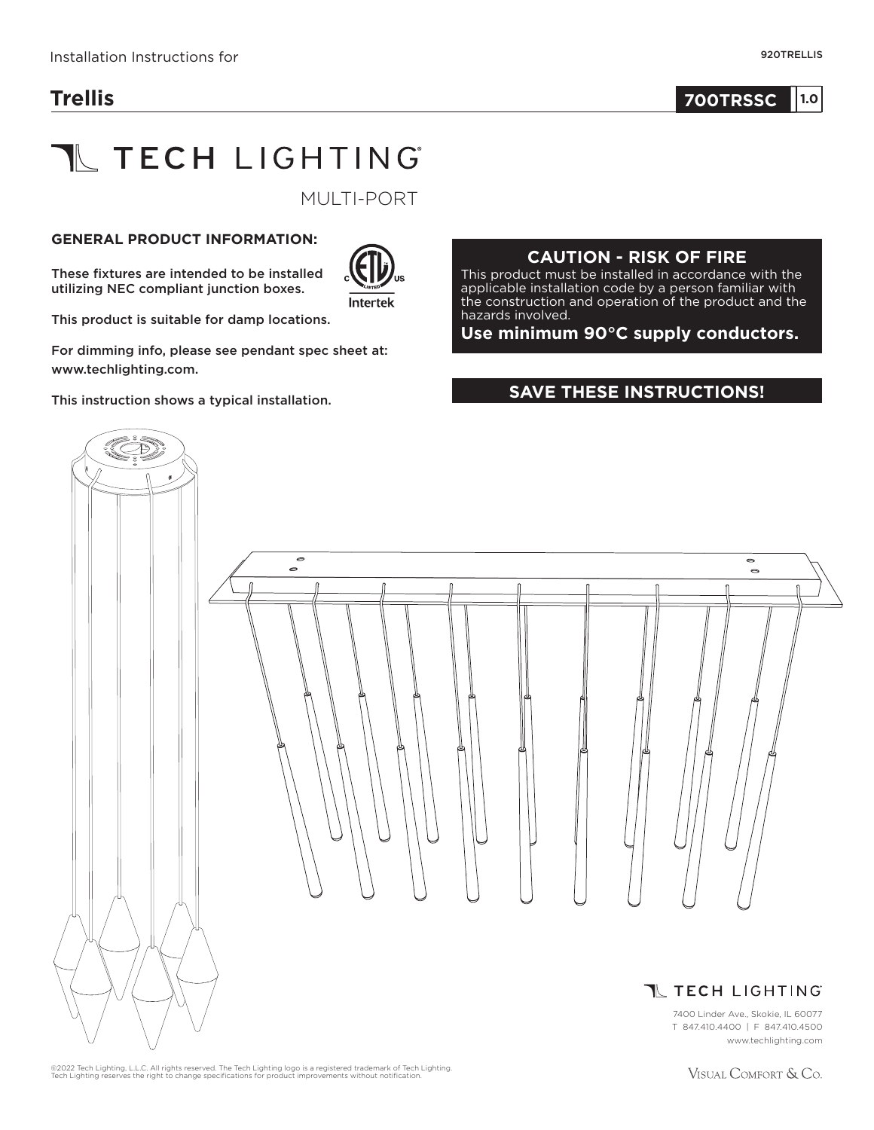# **Trellis**

#### **1.0 700TRSSC 1.0**

# **THECH LIGHTING**

MULTI-PORT

#### **GENERAL PRODUCT INFORMATION:**

These fixtures are intended to be installed utilizing NEC compliant junction boxes.



This product is suitable for damp locations.

For dimming info, please see pendant spec sheet at: www.techlighting.com.

This instruction shows a typical installation.

#### **CAUTION - RISK OF FIRE**

This product must be installed in accordance with the applicable installation code by a person familiar with the construction and operation of the product and the hazards involved.

**Use minimum 90°C supply conductors.**

#### **SAVE THESE INSTRUCTIONS!**



©2022 Tech Lighting, L.L.C. All rights reserved. The Tech Lighting logo is a registered trademark of Tech Lighting.<br>Tech Lighting reserves the right to change specifications for product improvements without notification.

VISUAL COMFORT & Co.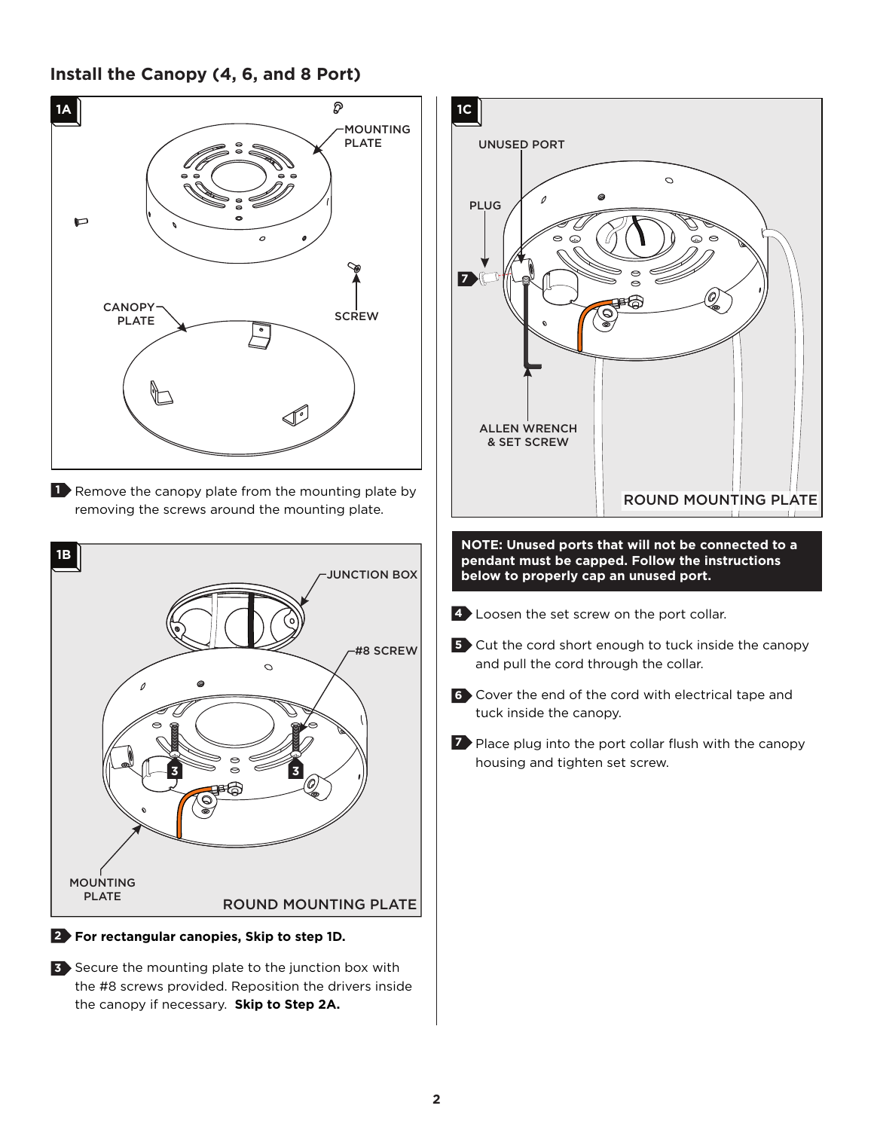#### **Install the Canopy (4, 6, and 8 Port)**



**3** Secure the mounting plate to the junction box with the #8 screws provided. Reposition the drivers inside the canopy if necessary. **Skip to Step 2A.**

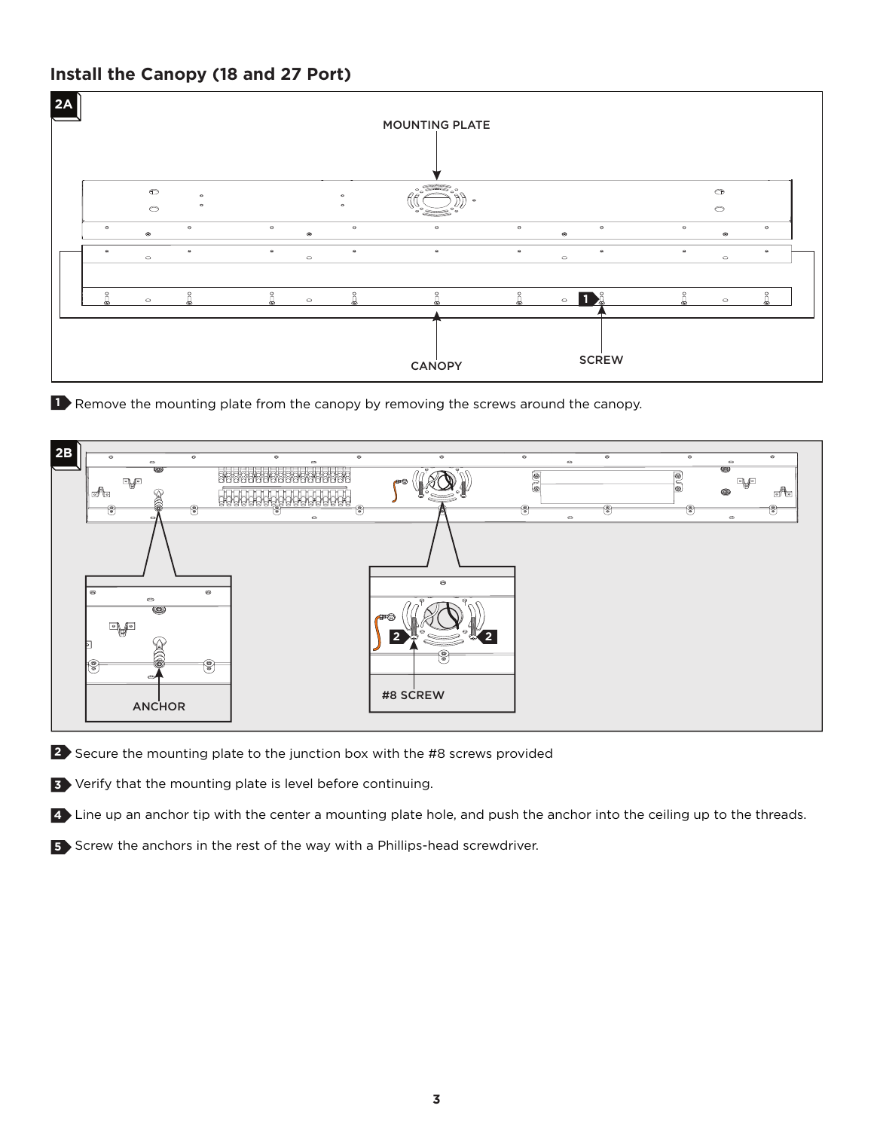# **Install the Canopy (18 and 27 Port)**



**1** Remove the mounting plate from the canopy by removing the screws around the canopy.



2) Secure the mounting plate to the junction box with the #8 screws provided

Verify that the mounting plate is level before continuing. **3**

Line up an anchor tip with the center a mounting plate hole, and push the anchor into the ceiling up to the threads. **4**

**5** Screw the anchors in the rest of the way with a Phillips-head screwdriver.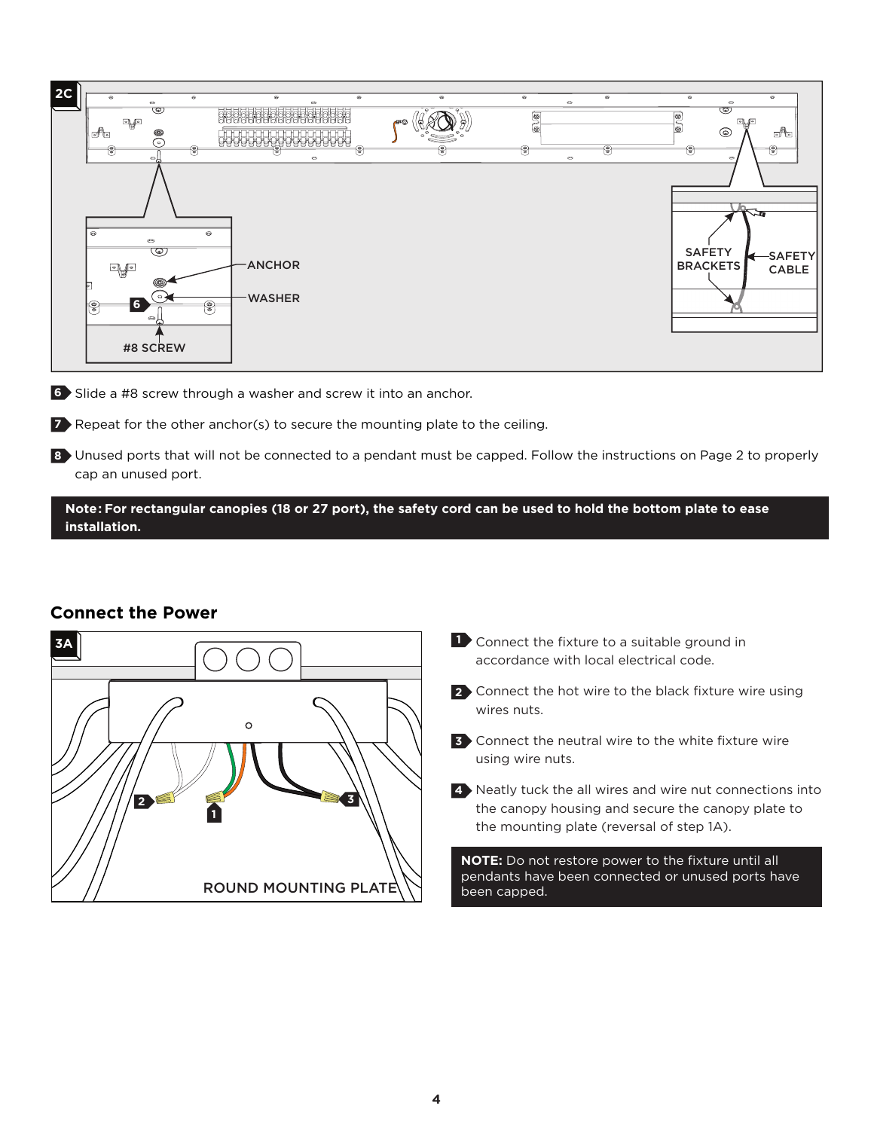

**6** Slide a #8 screw through a washer and screw it into an anchor.

**7** Repeat for the other anchor(s) to secure the mounting plate to the ceiling.

Unused ports that will not be connected to a pendant must be capped. Follow the instructions on Page 2 to properly **8** cap an unused port.

**Note: For rectangular canopies (18 or 27 port), the safety cord can be used to hold the bottom plate to ease installation.**

#### **Connect the Power**



**1** Connect the fixture to a suitable ground in accordance with local electrical code.

2 Connect the hot wire to the black fixture wire using wires nuts.

Connect the neutral wire to the white fixture wire **3** using wire nuts.

Neatly tuck the all wires and wire nut connections into **4** the canopy housing and secure the canopy plate to the mounting plate (reversal of step 1A).

**NOTE:** Do not restore power to the fixture until all pendants have been connected or unused ports have been capped.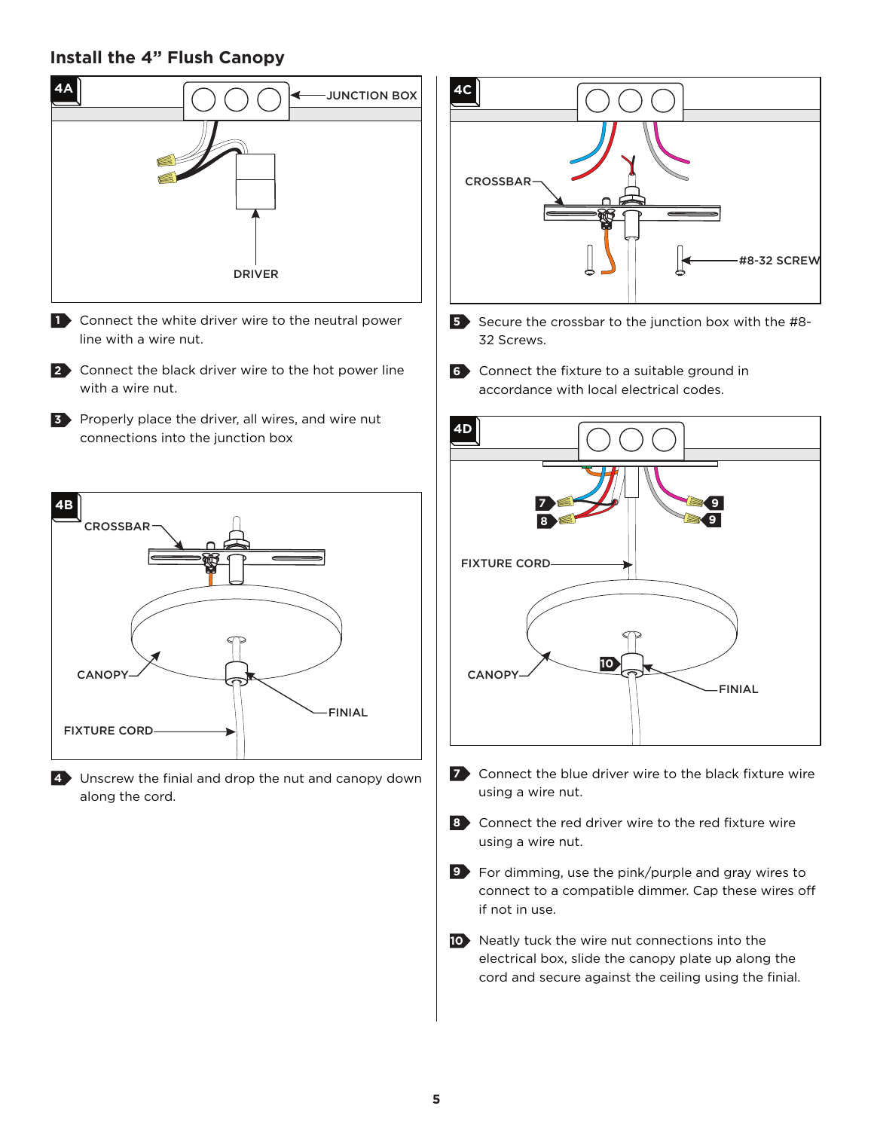### **Install the 4" Flush Canopy**



- 1 Connect the white driver wire to the neutral power line with a wire nut.
- 2 Connect the black driver wire to the hot power line with a wire nut.
- **3** Properly place the driver, all wires, and wire nut connections into the junction box



Unscrew the finial and drop the nut and canopy down **4** along the cord.



- **5** Secure the crossbar to the junction box with the #8-32 Screws.
- Connect the fixture to a suitable ground in **6** accordance with local electrical codes.



- **7** Connect the blue driver wire to the black fixture wire using a wire nut.
- 8 Connect the red driver wire to the red fixture wire using a wire nut.
- For dimming, use the pink/purple and gray wires to **9** connect to a compatible dimmer. Cap these wires off if not in use.
- 10 Neatly tuck the wire nut connections into the electrical box, slide the canopy plate up along the cord and secure against the ceiling using the finial.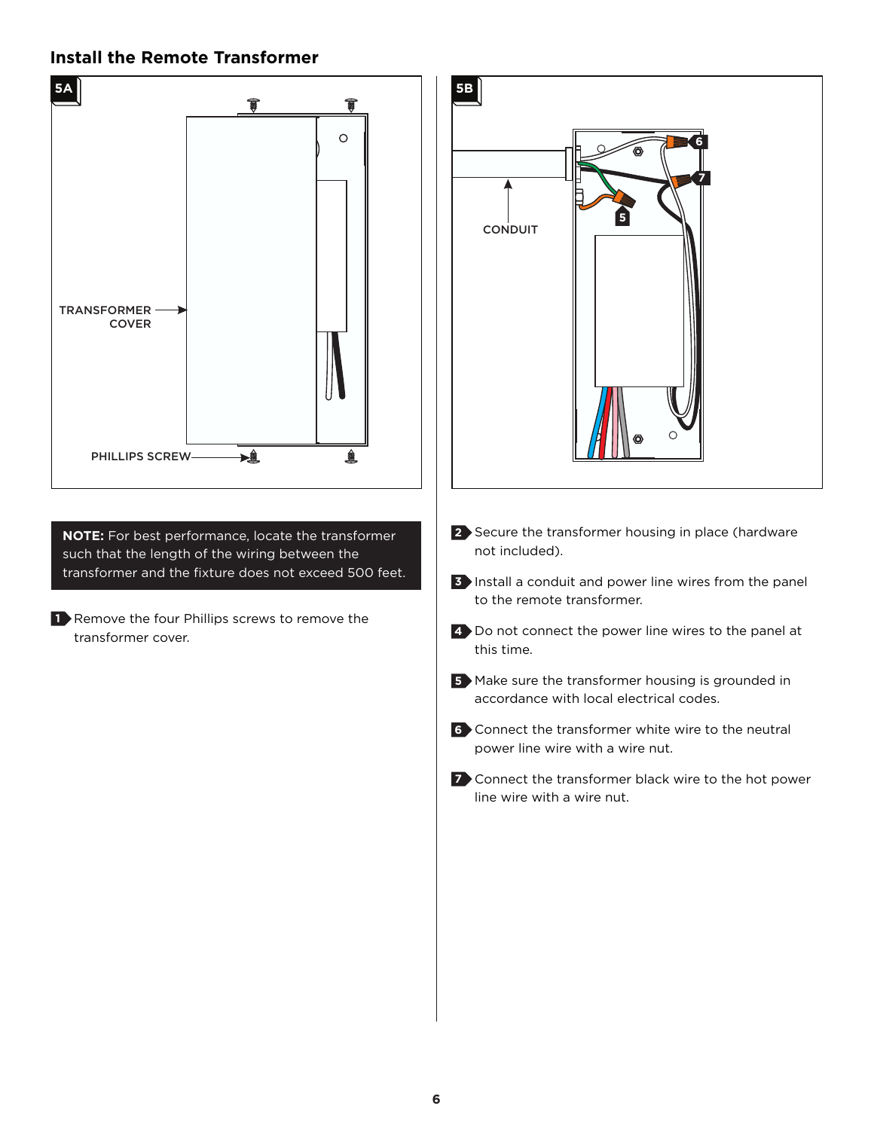#### **Install the Remote Transformer**



**6**

**7**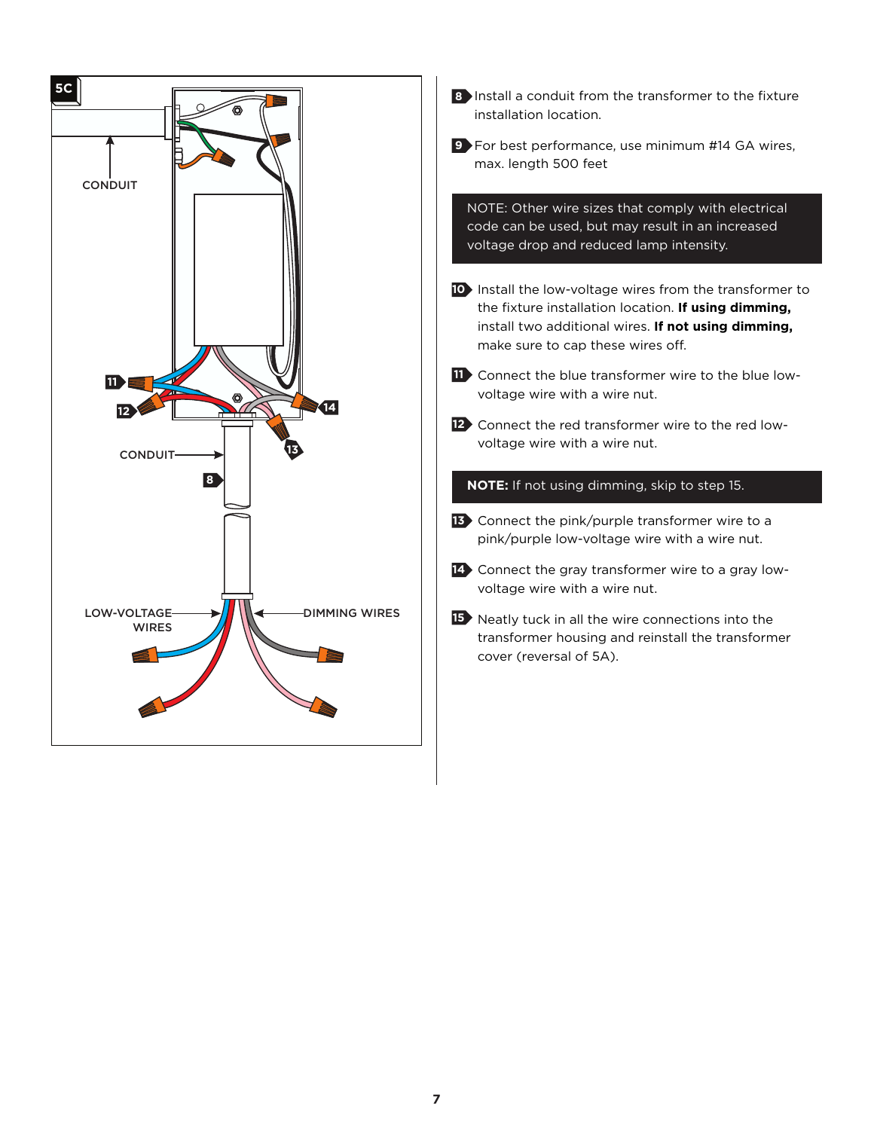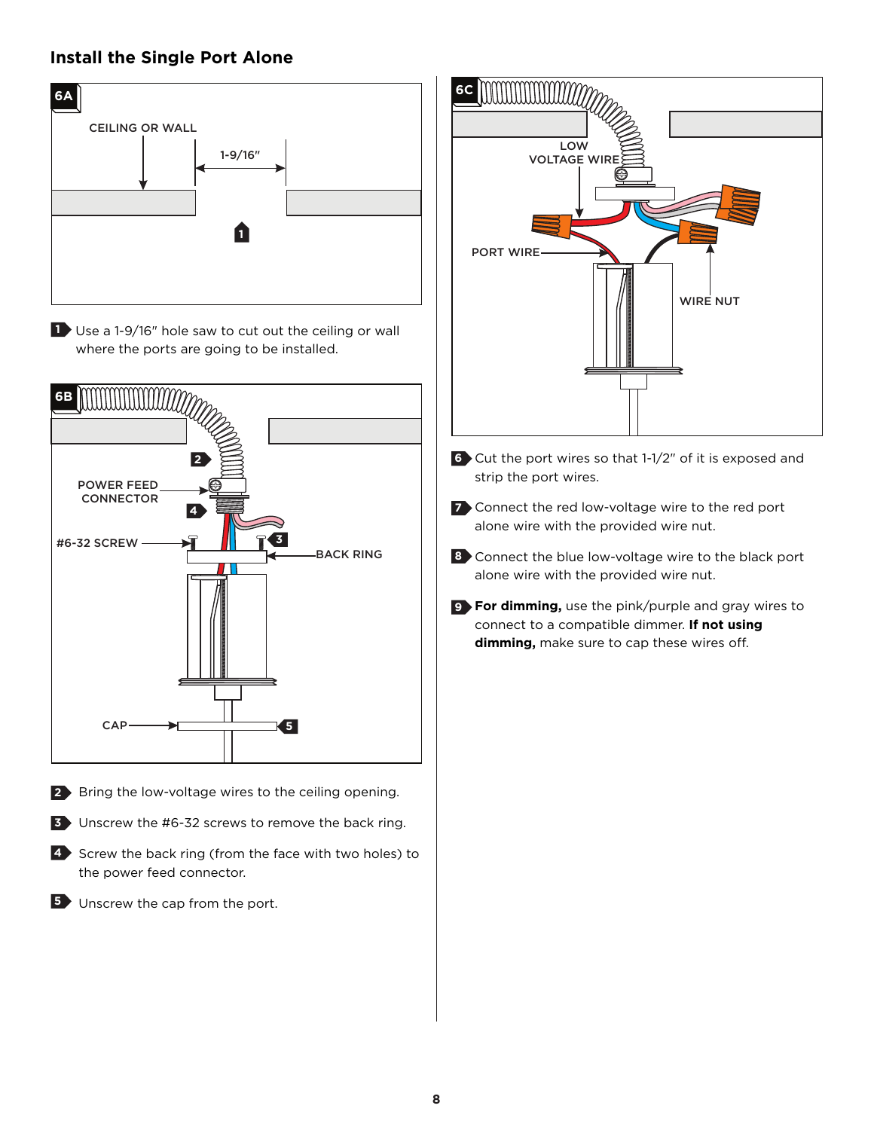# **Install the Single Port Alone**



**1** Use a 1-9/16" hole saw to cut out the ceiling or wall where the ports are going to be installed.



**2** Bring the low-voltage wires to the ceiling opening.



- 4 Screw the back ring (from the face with two holes) to the power feed connector.
- **5** Unscrew the cap from the port.



- Cut the port wires so that 1-1/2" of it is exposed and **6** strip the port wires.
- Connect the red low-voltage wire to the red port **7** alone wire with the provided wire nut.
- 8 Connect the blue low-voltage wire to the black port alone wire with the provided wire nut.
- **For dimming,** use the pink/purple and gray wires to **9** connect to a compatible dimmer. **If not using dimming,** make sure to cap these wires off.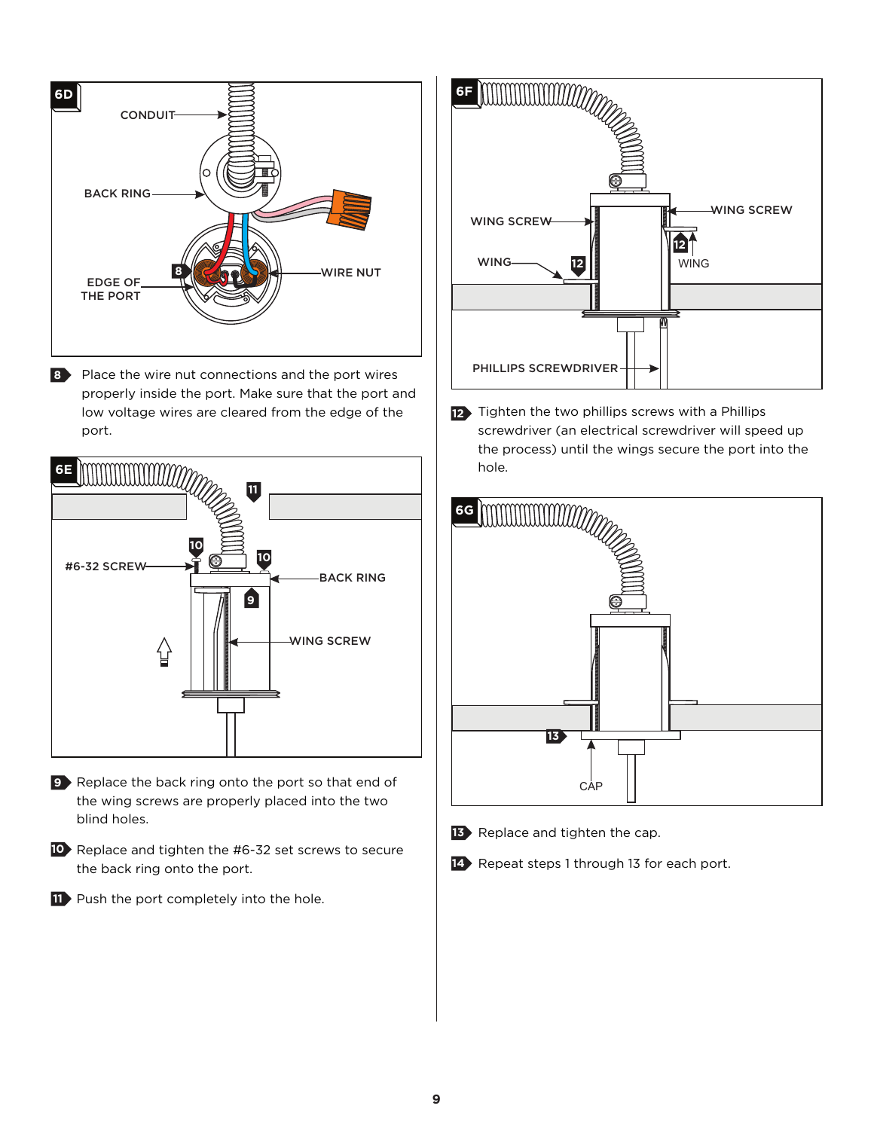

8 Place the wire nut connections and the port wires properly inside the port. Make sure that the port and low voltage wires are cleared from the edge of the port.



- **9** Replace the back ring onto the port so that end of the wing screws are properly placed into the two blind holes.
- 10 Replace and tighten the #6-32 set screws to secure the back ring onto the port.
- **11** Push the port completely into the hole.



12 Tighten the two phillips screws with a Phillips screwdriver (an electrical screwdriver will speed up the process) until the wings secure the port into the hole.



- 13 Replace and tighten the cap.
- 14 Repeat steps 1 through 13 for each port.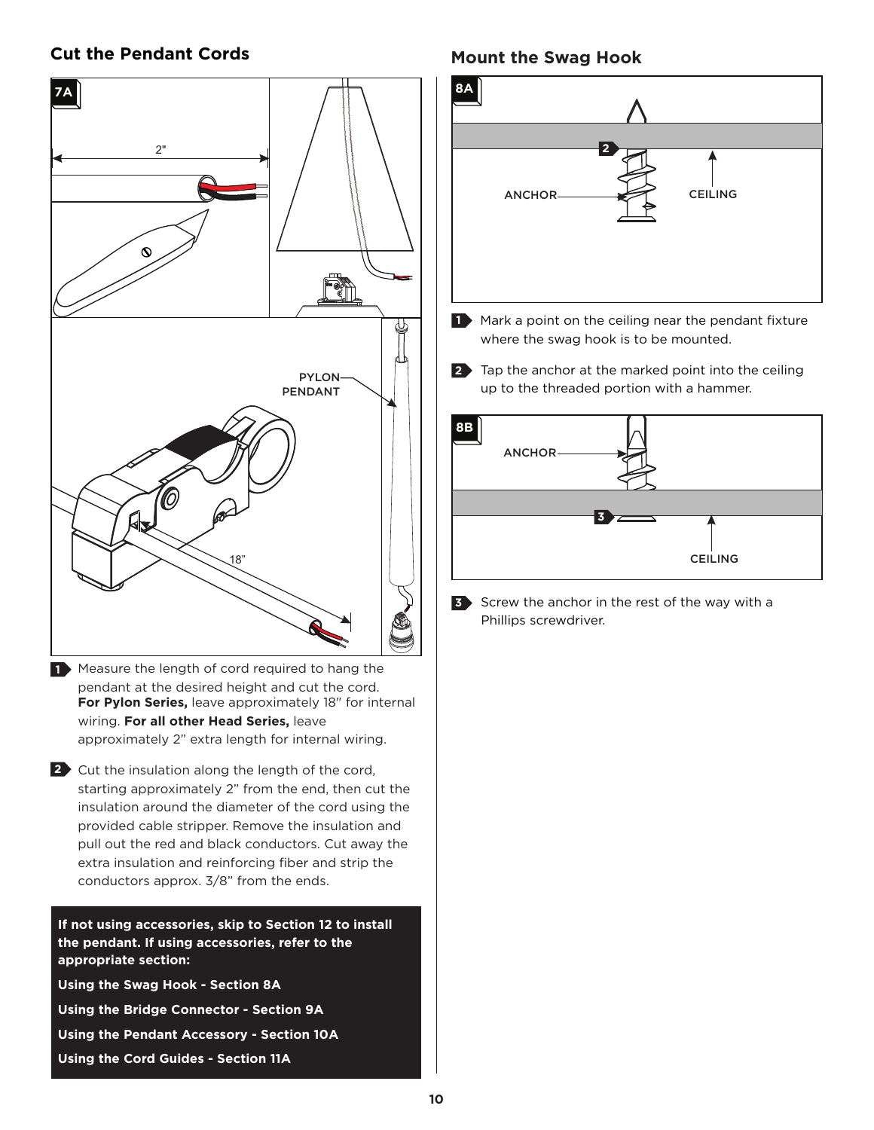#### **Cut the Pendant Cords**



1 Measure the length of cord required to hang the pendant at the desired height and cut the cord. **For Pylon Series,** leave approximately 18" for internal wiring. For all other Head Series, leave approximately 2" extra length for internal wiring.

2 Cut the insulation along the length of the cord, starting approximately 2" from the end, then cut the insulation around the diameter of the cord using the provided cable stripper. Remove the insulation and pull out the red and black conductors. Cut away the extra insulation and reinforcing fiber and strip the conductors approx. 3/8" from the ends.

**If not using accessories, skip to Section 12 to install the pendant. If using accessories, refer to the appropriate section:**

**Using the Swag Hook - Section 8A**

**Using the Bridge Connector - Section 9A**

**Using the Pendant Accessory - Section 10A**

**Using the Cord Guides - Section 11A**

### **Mount the Swag Hook**



- Tap the anchor at the marked point into the ceiling **2**
- up to the threaded portion with a hammer.



**3** Screw the anchor in the rest of the way with a Phillips screwdriver.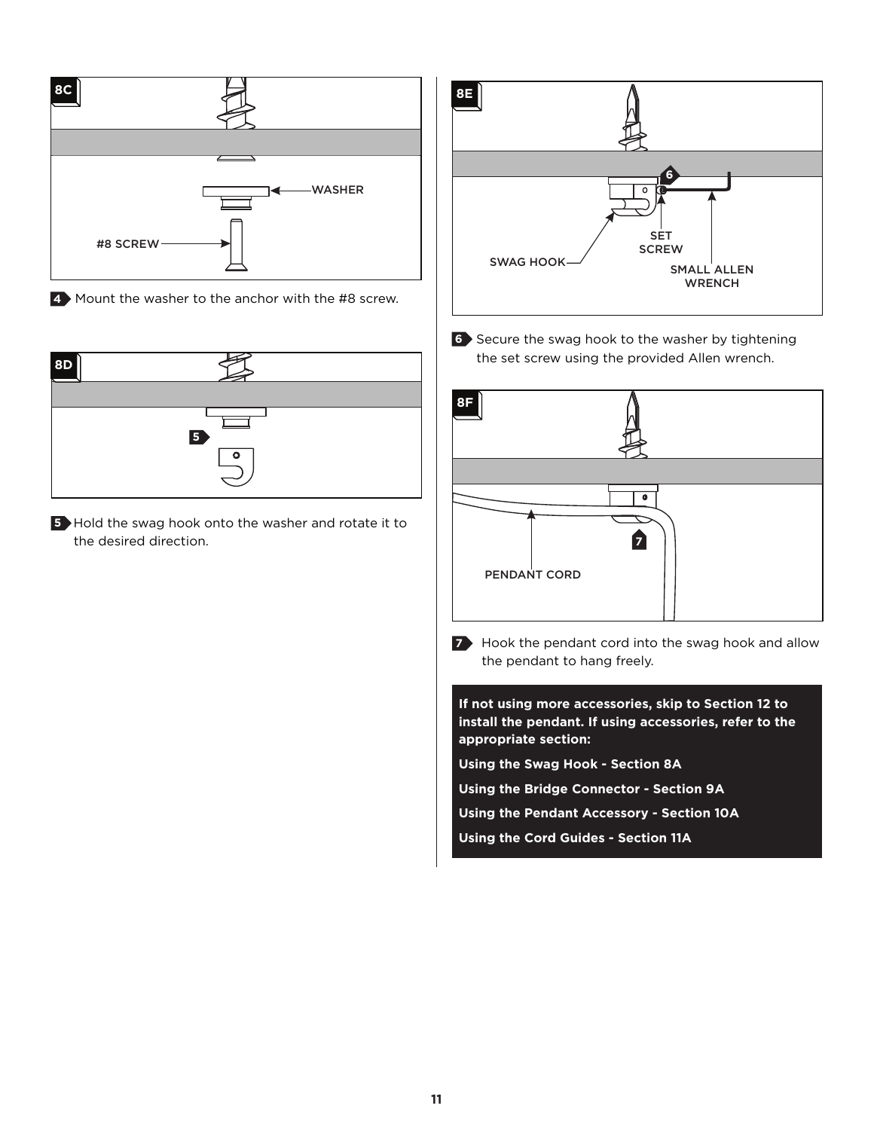

Mount the washer to the anchor with the #8 screw. **4**



**5** Hold the swag hook onto the washer and rotate it to the desired direction.



Secure the swag hook to the washer by tightening **6** the set screw using the provided Allen wrench.



**7** Hook the pendant cord into the swag hook and allow the pendant to hang freely.

**If not using more accessories, skip to Section 12 to install the pendant. If using accessories, refer to the appropriate section: Using the Swag Hook - Section 8A Using the Bridge Connector - Section 9A Using the Pendant Accessory - Section 10A**

**Using the Cord Guides - Section 11A**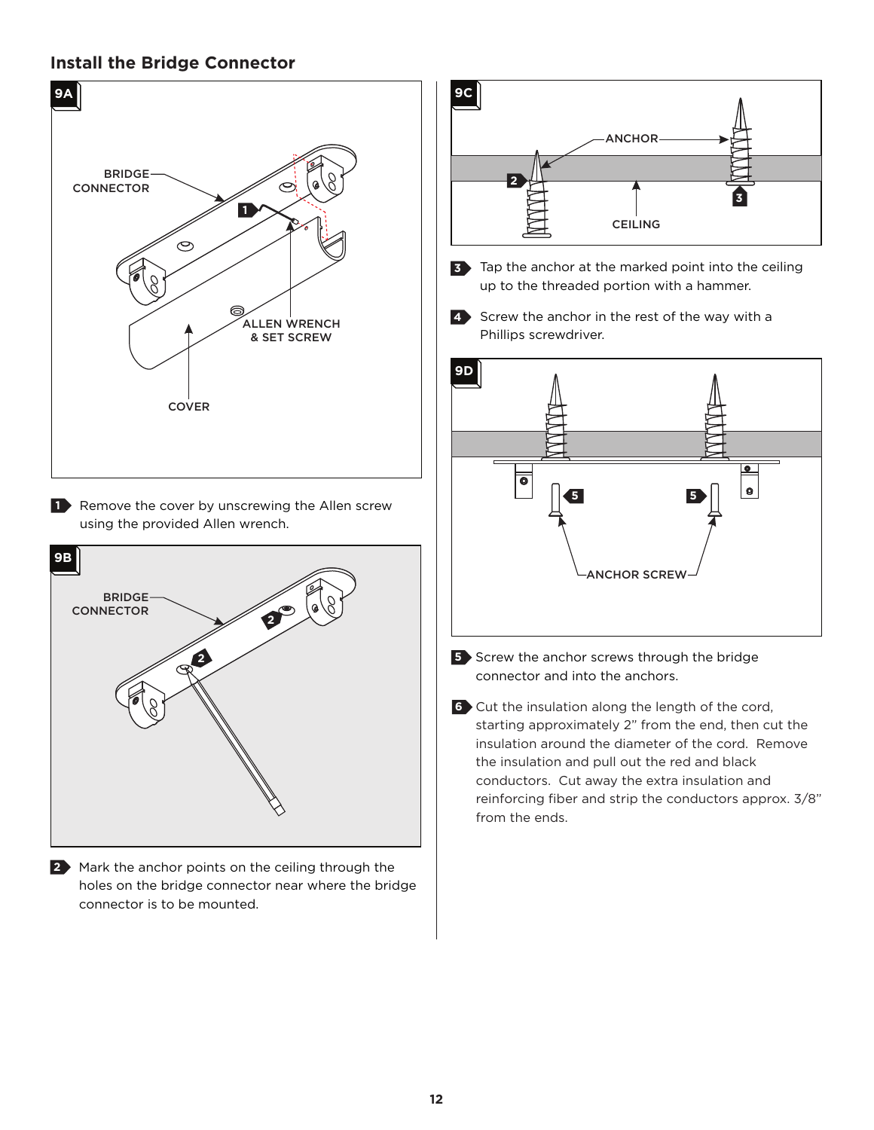#### **Install the Bridge Connector**



holes on the bridge connector near where the bridge connector is to be mounted.



- Tap the anchor at the marked point into the ceiling **3** up to the threaded portion with a hammer.
- 4 Screw the anchor in the rest of the way with a Phillips screwdriver.



- **5** Screw the anchor screws through the bridge connector and into the anchors.
- **6** Cut the insulation along the length of the cord, starting approximately 2" from the end, then cut the insulation around the diameter of the cord. Remove the insulation and pull out the red and black conductors. Cut away the extra insulation and reinforcing fiber and strip the conductors approx. 3/8" from the ends.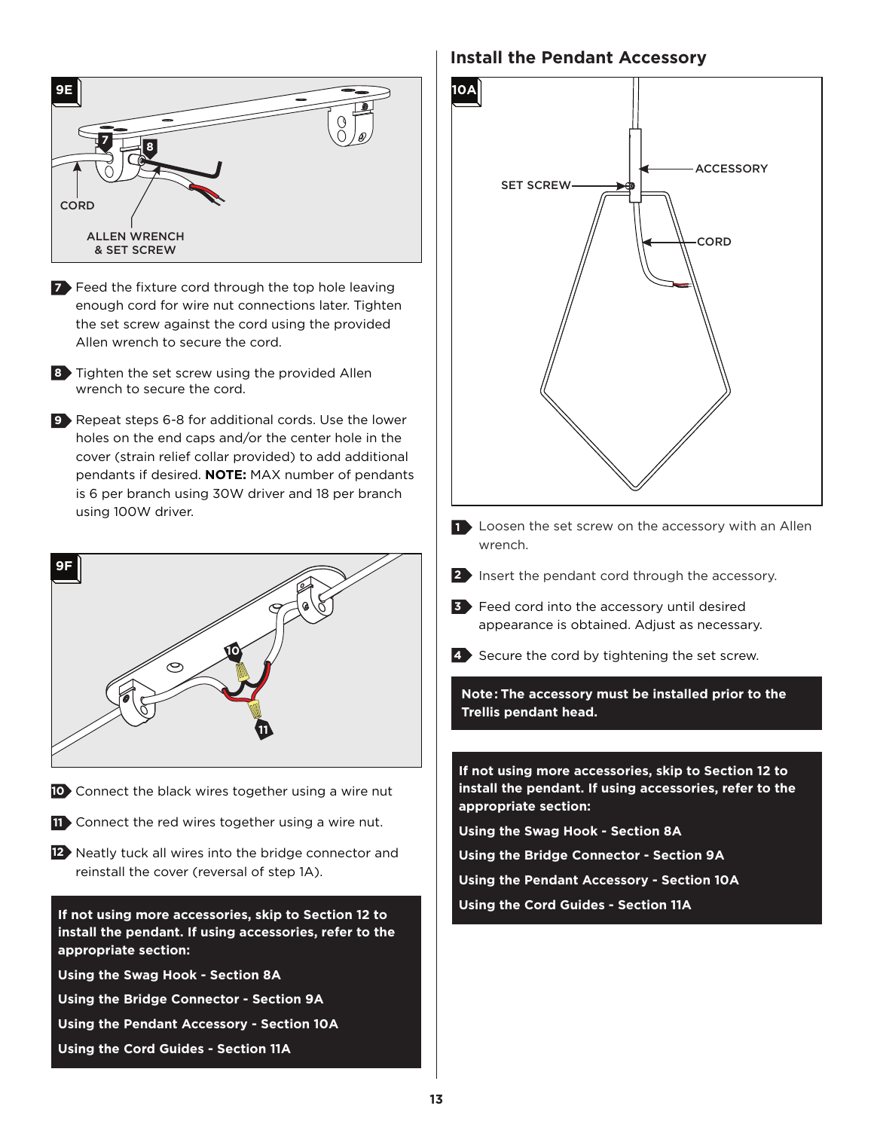

- **7** Feed the fixture cord through the top hole leaving enough cord for wire nut connections later. Tighten the set screw against the cord using the provided Allen wrench to secure the cord.
- 8 Tighten the set screw using the provided Allen wrench to secure the cord.
- 9 Repeat steps 6-8 for additional cords. Use the lower holes on the end caps and/or the center hole in the cover (strain relief collar provided) to add additional pendants if desired. **NOTE:** MAX number of pendants is 6 per branch using 30W driver and 18 per branch using 100W driver.



- 10 Connect the black wires together using a wire nut
- Connect the red wires together using a wire nut. **11**
- Neatly tuck all wires into the bridge connector and **12** reinstall the cover (reversal of step 1A).

**Using the Cord Guides - Section 11A If not using more accessories, skip to Section 12 to install the pendant. If using accessories, refer to the appropriate section:**

- **Using the Swag Hook Section 8A**
- **Using the Bridge Connector Section 9A**
- **Using the Pendant Accessory Section 10A**
- **Using the Cord Guides Section 11A**

#### **Install the Pendant Accessory**



- **1** Loosen the set screw on the accessory with an Allen wrench.
- **2** Insert the pendant cord through the accessory.
- Feed cord into the accessory until desired **3** appearance is obtained. Adjust as necessary.
- 4 Secure the cord by tightening the set screw.

**Note: The accessory must be installed prior to the Trellis pendant head.**

**If not using more accessories, skip to Section 12 to install the pendant. If using accessories, refer to the appropriate section:**

**Using the Swag Hook - Section 8A**

**Using the Bridge Connector - Section 9A**

**Using the Pendant Accessory - Section 10A**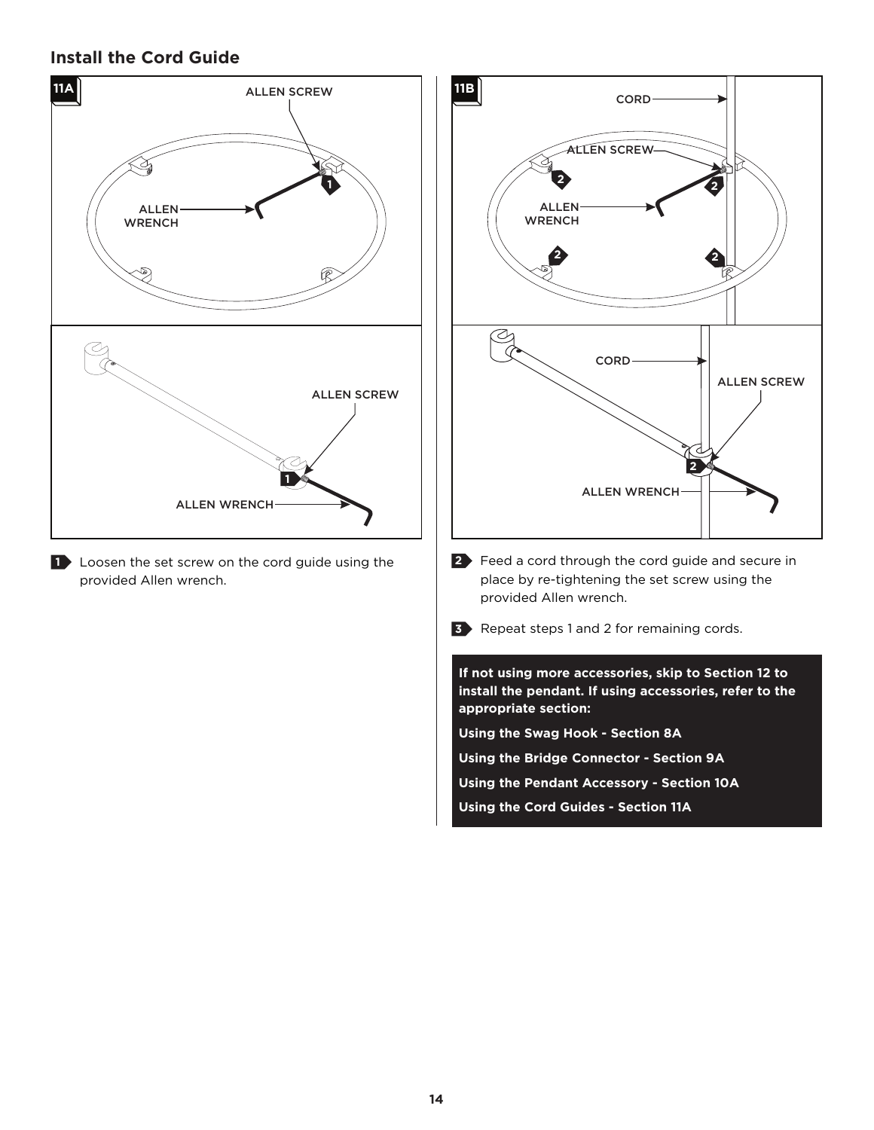# **Install the Cord Guide**



1 Loosen the set screw on the cord guide using the provided Allen wrench.

![](_page_13_Figure_3.jpeg)

**Using the Cord Guides - Section 11A**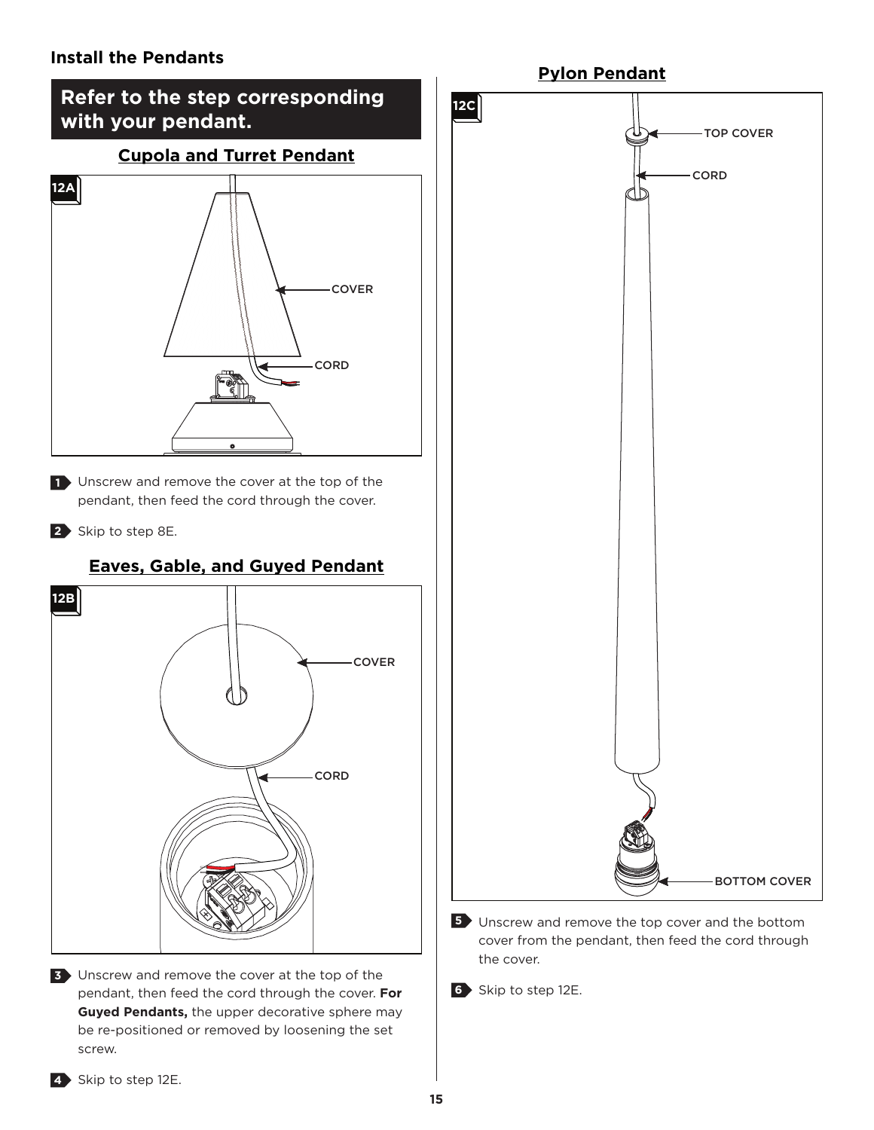#### **Install the Pendants**

![](_page_14_Figure_1.jpeg)